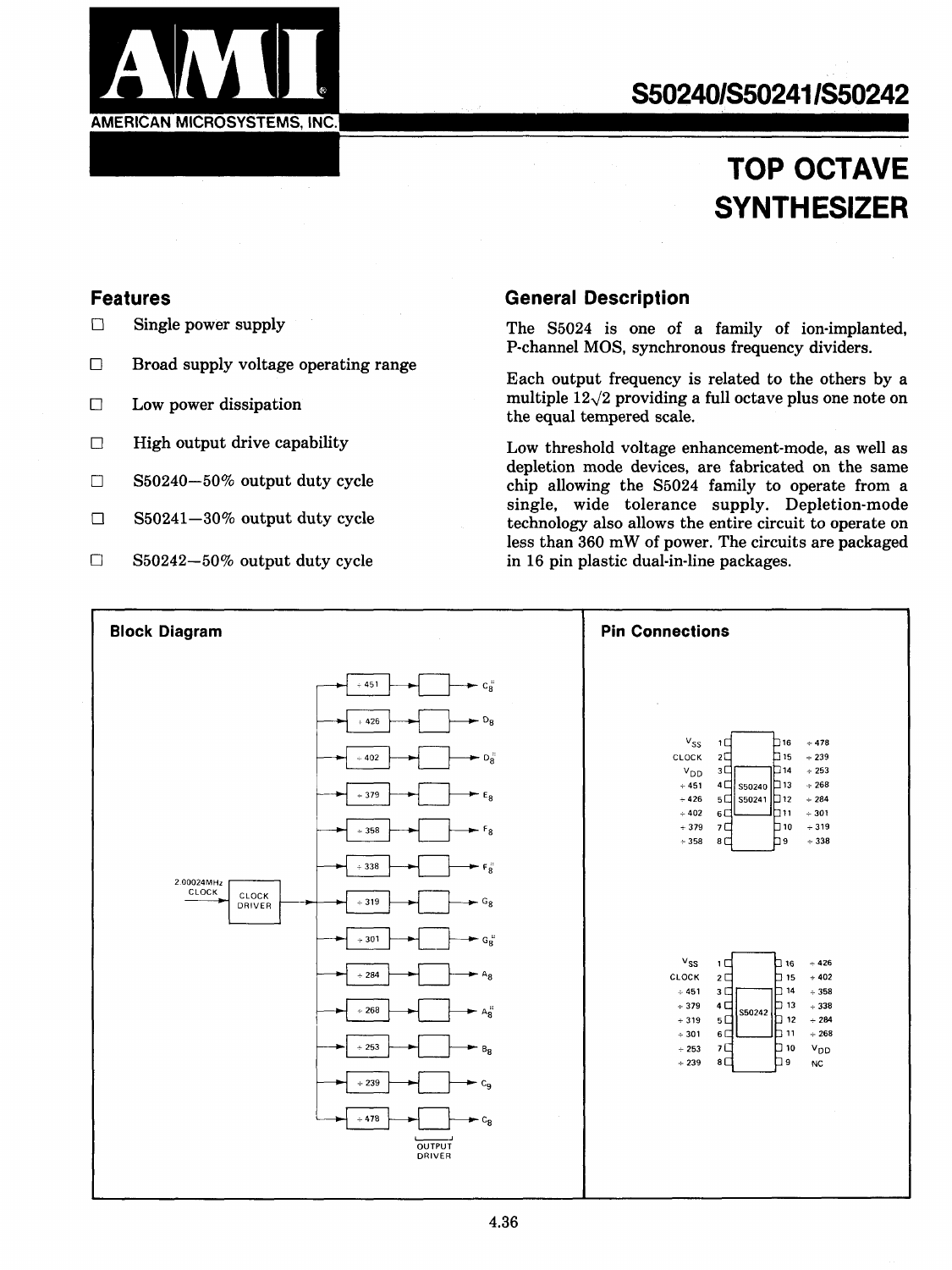

# **TOP OCTAVE SYNTHESIZER**

### **Features**

 $\Box$  Single power supply

**AMERICAN MICROSYSTEMS, INC.** 

- $\Box$  Broad supply voltage operating range
- $\Box$ Low power dissipation
- $\Box$ High output drive capability
- $\Box$ 850240-50% output duty cycle
- $\Box$ 850241-30% output duty cycle
- $\Box$ 850242-50% output duty cycle

### **General Description**

The 85024 is one of a family of ion-implanted, P-channel M08, synchronous frequency dividers.

Each output frequency is related to the others by a multiple  $12\sqrt{2}$  providing a full octave plus one note on the equal tempered scale.

Low threshold voltage enhancement-mode, as well as depletion mode devices, are fabricated on the same chip allowing the 85024 family to operate from a single, wide tolerance supply. Depletion-mode technology also allows the entire circuit to operate on less than 360 mW of power. The circuits are packaged in 16 pin plastic dual-in-line packages.

| <b>Block Diagram</b>                                                                                                                            | <b>Pin Connections</b>                                                                                                                                                                                                                                                                                                                                               |
|-------------------------------------------------------------------------------------------------------------------------------------------------|----------------------------------------------------------------------------------------------------------------------------------------------------------------------------------------------------------------------------------------------------------------------------------------------------------------------------------------------------------------------|
| $c_8$<br>$+451$<br>- D <sub>8</sub><br>$+426$<br>$\blacktriangleright$ D <sub>8</sub><br>$\div$ 402<br>$+379$<br>$E_8$<br>$F_{8}$<br>$\div$ 358 | $v_{SS}$<br>$+478$<br>16<br>1 C<br>h <sub>15</sub><br>$+239$<br>CLOCK<br>$2\square$<br>1⊡14<br>$+253$<br>$3\Box$<br>V <sub>DD</sub><br>$+268$<br>4 □ S50240 口13<br>$+451$<br>$+426$<br>$5\Box$<br>∫S50241 D12<br>$+284$<br>וו ⊡1<br>$\div$ 402<br>6C<br>$+301$<br>h 10<br>$+379$<br>7 <sup>C</sup><br>$+319$                                                         |
| - F.<br>$+338$<br>2.00024MHz<br>CLOCK<br>CLOCK<br>- G <sub>8</sub><br>$\div$ 319<br>DRIVER<br>$G_{8}$<br>$\div$ 301                             | 'n,<br>$\div$ 338<br>$\div$ 358<br>8 <sup>1</sup>                                                                                                                                                                                                                                                                                                                    |
| $+284$<br>$- A_8$<br>$A_8$<br>$+268$<br>$+253$<br>$B_8$                                                                                         | $v_{ss}$<br>$-426$<br>$\Box$ 16<br>1日<br>CLOCK<br>$+402$<br>$2\square$<br>15 ב<br>14 ⊡<br>$+451$<br>$\div$ 358<br>3C<br>þ 13<br>4 <sup>1</sup><br>$+338$<br>$+379$<br>S50242<br>$\Box$ 12<br>$+284$<br>$+319$<br>$5\square$<br>1י ם!<br>$\div$ 268<br>$6\square$<br>$+301$<br>0ו □<br>7다<br>V <sub>DD</sub><br>$+253$<br>8 <sup>1</sup><br>۵g<br>$+239$<br><b>NC</b> |
| $+239$<br>$-c_9$<br>$+478$<br>$-c_8$<br>OUTPUT<br>DRIVER                                                                                        |                                                                                                                                                                                                                                                                                                                                                                      |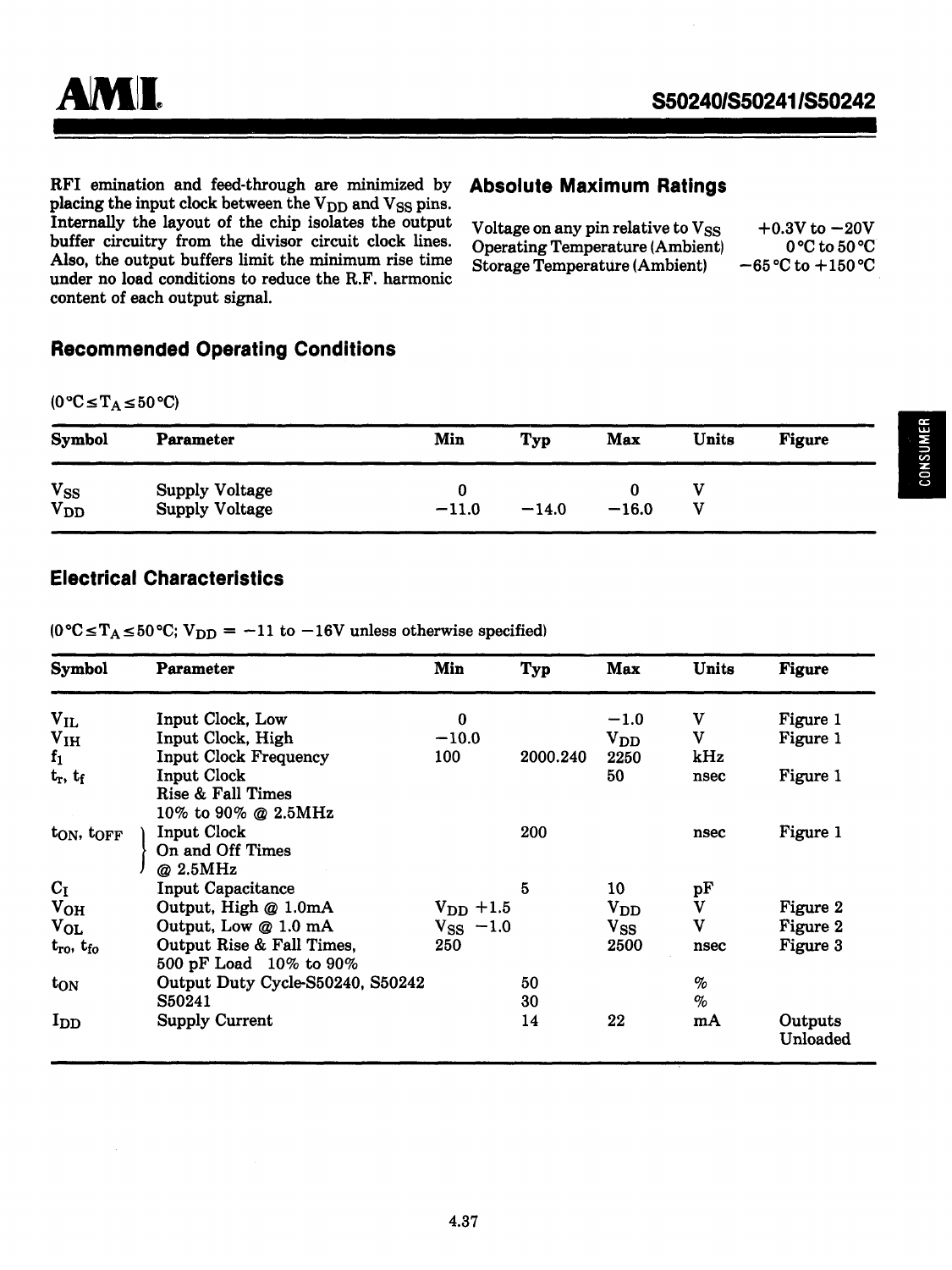RFI emination and feed-through are minimized by **Absolute Maximum Ratings**  placing the input clock between the V<sub>DD</sub> and V<sub>SS</sub> pins. Internally the layout of the chip isolates the output buffer circuitry from the divisor circuit clock lines. Also, the output buffers limit the minimum rise time under no load conditions to reduce the R.F. harmonic content of each output signal.

| Voltage on any pin relative to Vss.    | $+0.3V$ to $-20V$                |
|----------------------------------------|----------------------------------|
| <b>Operating Temperature (Ambient)</b> | $0^{\circ}$ C to 50 $^{\circ}$ C |
| <b>Storage Temperature (Ambient)</b>   | $-65$ °C to $+150$ °C            |

### **Recommended Operating Conditions**

 $(0 °C \le T_A \le 50 °C)$ 

| Symbol                                          | Parameter                                      | Min          | Typ     | Max     | Units | <b>Figure</b> |
|-------------------------------------------------|------------------------------------------------|--------------|---------|---------|-------|---------------|
| $\mathbf{v}_{\mathbf{S}\mathbf{S}}$<br>$V_{DD}$ | <b>Supply Voltage</b><br><b>Supply Voltage</b> | 0<br>$-11.0$ | $-14.0$ | $-16.0$ |       |               |

### **Electrical Characteristics**

 $(0 °C \le T_A \le 50 °C; V_{DD} = -11$  to  $-16V$  unless otherwise specified)

| <b>Symbol</b>               | Parameter                        | Min           | Typ      | Max            | Units              | <b>Figure</b>       |
|-----------------------------|----------------------------------|---------------|----------|----------------|--------------------|---------------------|
| $V_{IL}$                    | Input Clock, Low                 | $\bf{0}$      |          | $-1.0$         | V                  | Figure 1            |
| V <sub>IH</sub>             | Input Clock, High                | $-10.0$       |          | ${\rm v_{DD}}$ | v                  | Figure 1            |
| $f_1$                       | <b>Input Clock Frequency</b>     | 100           | 2000.240 | 2250           | kHz                |                     |
| $t_r$ , $t_f$               | Input Clock                      |               |          | 50             | nsec               | Figure 1            |
|                             | Rise & Fall Times                |               |          |                |                    |                     |
|                             | 10% to 90% @ 2.5MHz              |               |          |                |                    |                     |
| $t_{ON}$ , $t_{OFF}$        | <b>Input Clock</b>               |               | 200      |                | nsec               | Figure 1            |
|                             | On and Off Times                 |               |          |                |                    |                     |
|                             | @ 2.5MHz                         |               |          |                |                    |                     |
| $C_I$                       | <b>Input Capacitance</b>         |               | 5        | 10             | pF                 |                     |
| $V_{OH}$                    | Output, High @ 1.0mA             | $V_{DD}$ +1.5 |          | $\rm{V}_{DD}$  | $\bar{\mathbf{v}}$ | Figure 2            |
| $V_{OL}$                    | Output, Low @ 1.0 mA             | $V_{SS}$ -1.0 |          | $v_{ss}$       | v                  | Figure 2            |
| $t_{\rm ro}$ , $t_{\rm fo}$ | Output Rise & Fall Times,        | 250           |          | 2500           | nsec               | Figure 3            |
|                             | 500 pF Load 10% to 90%           |               |          |                |                    |                     |
| $t_{ON}$                    | Output Duty Cycle-S50240, S50242 |               | 50       |                | $\%$               |                     |
|                             | S50241                           |               | 30       |                | $\%$               |                     |
| $I_{DD}$                    | <b>Supply Current</b>            |               | 14       | 22             | mA                 | Outputs<br>Unloaded |

**CONSUMER**